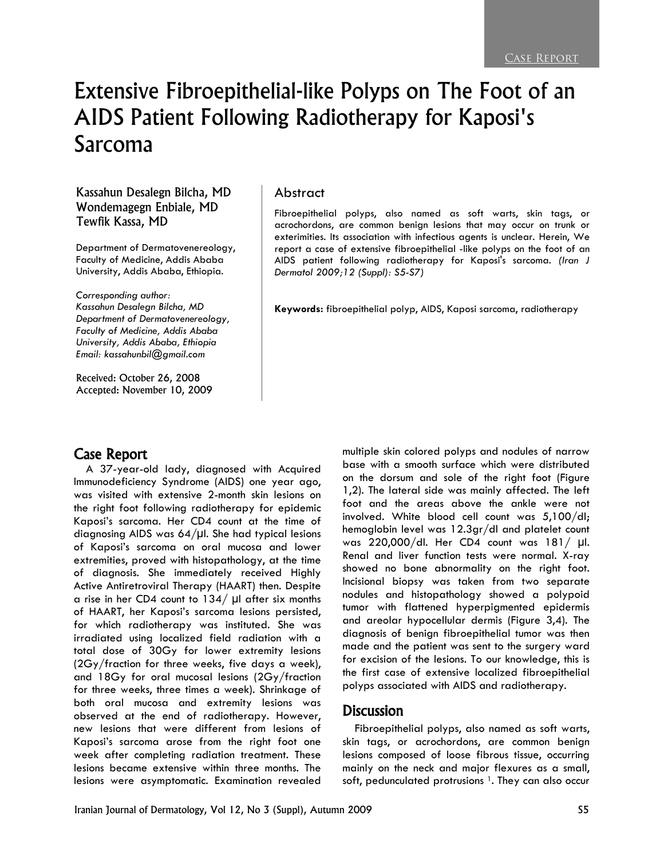# Extensive Fibroepithelial-like Polyps on The Foot of an AIDS Patient Following Radiotherapy for Kaposi's Sarcoma

Kassahun Desalegn Bilcha, MD Wondemagegn Enbiale, MD Tewfik Kassa, MD

Department of Dermatovenereology, Faculty of Medicine, Addis Ababa University, Addis Ababa, Ethiopia.

*Corresponding author: Kassahun Desalegn Bilcha, MD Department of Dermatovenereology, Faculty of Medicine, Addis Ababa University, Addis Ababa, Ethiopia Email: kassahunbil@gmail.com* 

Received: October 26, 2008 Accepted: November 10, 2009

#### Abstract

Fibroepithelial polyps, also named as soft warts, skin tags, or acrochordons, are common benign lesions that may occur on trunk or exterimities. Its association with infectious agents is unclear. Herein, We report a case of extensive fibroepithelial -like polyps on the foot of an AIDS patient following radiotherapy for Kaposi's sarcoma. *(Iran J Dermatol 2009;12 (Suppl): S5-S7)* 

**Keywords:** fibroepithelial polyp, AIDS, Kaposi sarcoma, radiotherapy

## Case Report

A 37-year-old lady, diagnosed with Acquired Immunodeficiency Syndrome (AIDS) one year ago, was visited with extensive 2-month skin lesions on the right foot following radiotherapy for epidemic Kaposi's sarcoma. Her CD4 count at the time of diagnosing AIDS was  $64/µ$ l. She had typical lesions of Kaposi's sarcoma on oral mucosa and lower extremities, proved with histopathology, at the time of diagnosis. She immediately received Highly Active Antiretroviral Therapy (HAART) then. Despite a rise in her CD4 count to  $134/$  µl after six months of HAART, her Kaposi's sarcoma lesions persisted, for which radiotherapy was instituted. She was irradiated using localized field radiation with a total dose of 30Gy for lower extremity lesions (2Gy/fraction for three weeks, five days a week), and 18Gy for oral mucosal lesions (2Gy/fraction for three weeks, three times a week). Shrinkage of both oral mucosa and extremity lesions was observed at the end of radiotherapy. However, new lesions that were different from lesions of Kaposi's sarcoma arose from the right foot one week after completing radiation treatment. These lesions became extensive within three months. The lesions were asymptomatic. Examination revealed multiple skin colored polyps and nodules of narrow base with a smooth surface which were distributed on the dorsum and sole of the right foot (Figure 1,2). The lateral side was mainly affected. The left foot and the areas above the ankle were not involved. White blood cell count was 5,100/dl; hemoglobin level was 12.3gr/dl and platelet count was 220,000/dl. Her CD4 count was 181/ µl. Renal and liver function tests were normal. X-ray showed no bone abnormality on the right foot. Incisional biopsy was taken from two separate nodules and histopathology showed a polypoid tumor with flattened hyperpigmented epidermis and areolar hypocellular dermis (Figure 3,4). The diagnosis of benign fibroepithelial tumor was then made and the patient was sent to the surgery ward for excision of the lesions. To our knowledge, this is the first case of extensive localized fibroepithelial polyps associated with AIDS and radiotherapy.

#### **Discussion**

Fibroepithelial polyps, also named as soft warts, skin tags, or acrochordons, are common benign lesions composed of loose fibrous tissue, occurring mainly on the neck and major flexures as a small, soft, pedunculated protrusions<sup>1</sup>. They can also occur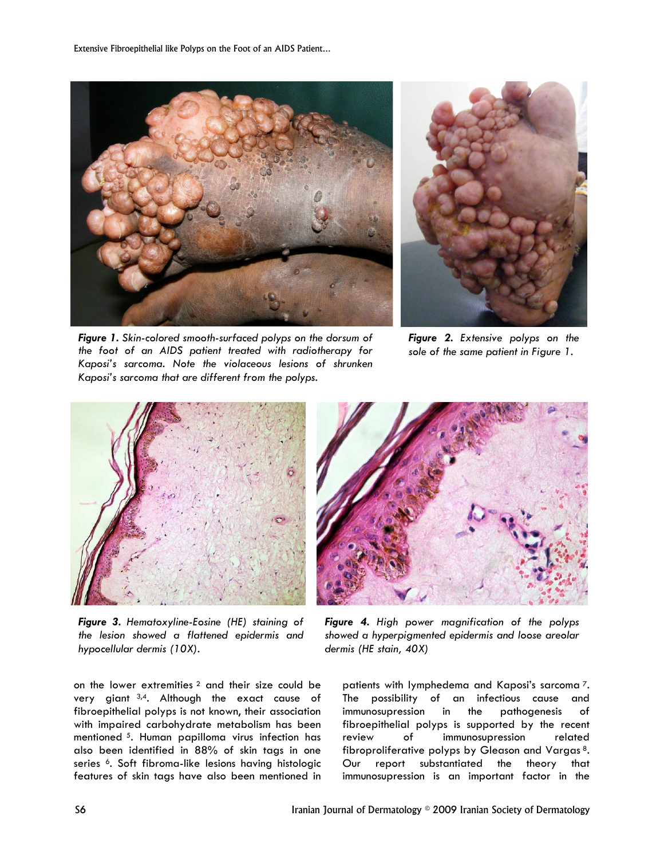

*Figure 1. Skin-colored smooth-surfaced polyps on the dorsum of the foot of an AIDS patient treated with radiotherapy for Kaposi's sarcoma. Note the violaceous lesions of shrunken Kaposi's sarcoma that are different from the polyps.* 



*Figure 2. Extensive polyps on the sole of the same patient in Figure 1.* 



*Figure 3. Hematoxyline-Eosine (HE) staining of the lesion showed a flattened epidermis and hypocellular dermis (10X).* 

on the lower extremities 2 and their size could be very giant 3,4. Although the exact cause of fibroepithelial polyps is not known, their association with impaired carbohydrate metabolism has been mentioned 5. Human papilloma virus infection has also been identified in 88% of skin tags in one series <sup>6</sup>. Soft fibroma-like lesions having histologic features of skin tags have also been mentioned in



*Figure 4. High power magnification of the polyps showed a hyperpigmented epidermis and loose areolar dermis (HE stain, 40X)* 

patients with lymphedema and Kaposi's sarcoma 7. The possibility of an infectious cause and immunosupression in the pathogenesis of fibroepithelial polyps is supported by the recent review of immunosupression related fibroproliferative polyps by Gleason and Vargas 8. Our report substantiated the theory that immunosupression is an important factor in the